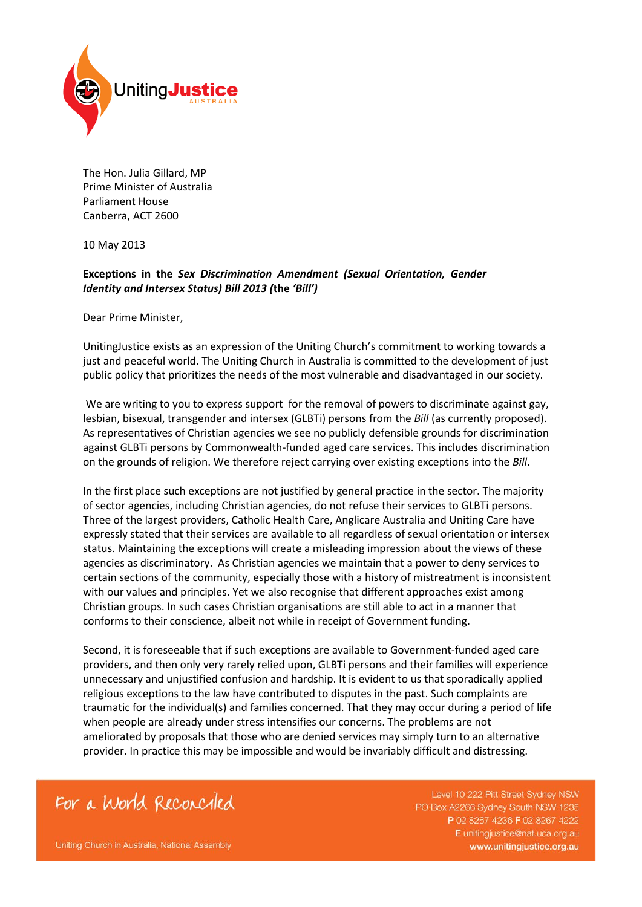

The Hon. Julia Gillard, MP Prime Minister of Australia Parliament House Canberra, ACT 2600

10 May 2013

## **Exceptions in the** *Sex Discrimination Amendment (Sexual Orientation, Gender Identity and Intersex Status) Bill 2013 (***the** *'Bill')*

Dear Prime Minister,

UnitingJustice exists as an expression of the Uniting Church's commitment to working towards a just and peaceful world. The Uniting Church in Australia is committed to the development of just public policy that prioritizes the needs of the most vulnerable and disadvantaged in our society.

We are writing to you to express support for the removal of powers to discriminate against gay, lesbian, bisexual, transgender and intersex (GLBTi) persons from the *Bill* (as currently proposed). As representatives of Christian agencies we see no publicly defensible grounds for discrimination against GLBTi persons by Commonwealth-funded aged care services. This includes discrimination on the grounds of religion. We therefore reject carrying over existing exceptions into the *Bill*.

In the first place such exceptions are not justified by general practice in the sector. The majority of sector agencies, including Christian agencies, do not refuse their services to GLBTi persons. Three of the largest providers, Catholic Health Care, Anglicare Australia and Uniting Care have expressly stated that their services are available to all regardless of sexual orientation or intersex status. Maintaining the exceptions will create a misleading impression about the views of these agencies as discriminatory. As Christian agencies we maintain that a power to deny services to certain sections of the community, especially those with a history of mistreatment is inconsistent with our values and principles. Yet we also recognise that different approaches exist among Christian groups. In such cases Christian organisations are still able to act in a manner that conforms to their conscience, albeit not while in receipt of Government funding.

Second, it is foreseeable that if such exceptions are available to Government-funded aged care providers, and then only very rarely relied upon, GLBTi persons and their families will experience unnecessary and unjustified confusion and hardship. It is evident to us that sporadically applied religious exceptions to the law have contributed to disputes in the past. Such complaints are traumatic for the individual(s) and families concerned. That they may occur during a period of life when people are already under stress intensifies our concerns. The problems are not ameliorated by proposals that those who are denied services may simply turn to an alternative provider. In practice this may be impossible and would be invariably difficult and distressing.

## For a World Reconciled

Level 10 222 Pitt Street Sydney NSW PO Box A2266 Sydney South NSW 1235 P 02 8267 4236 F 02 8267 4222 E unitingjustice@nat.uca.org.au www.unitingjustice.org.au